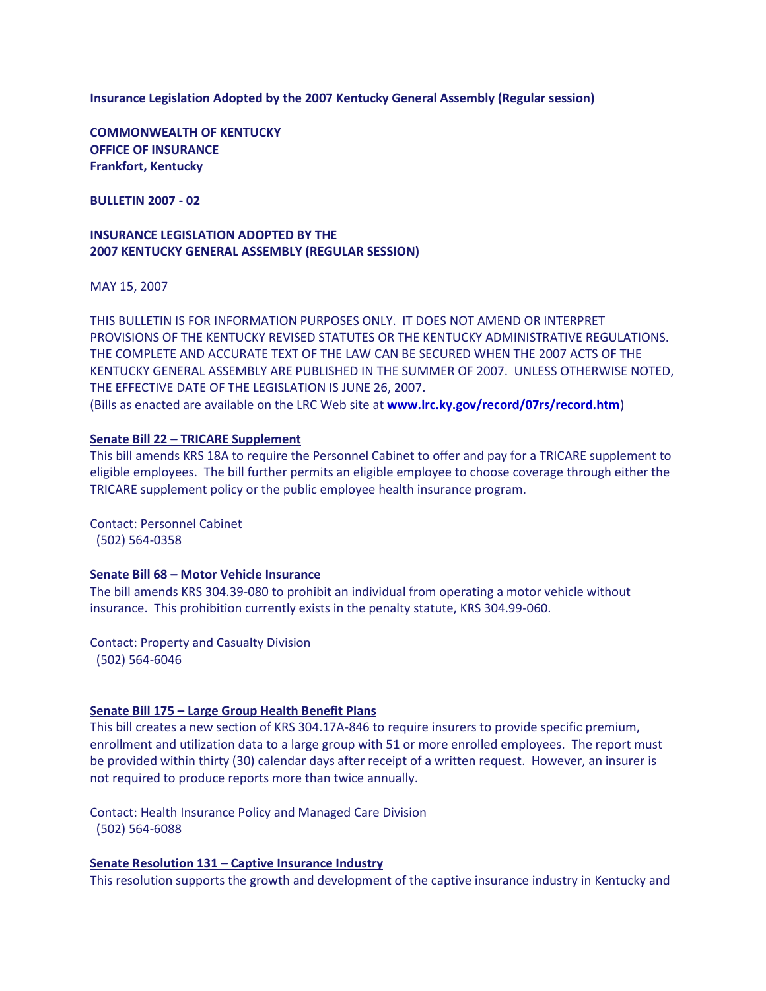**Insurance Legislation Adopted by the 2007 Kentucky General Assembly (Regular session)**

**COMMONWEALTH OF KENTUCKY OFFICE OF INSURANCE Frankfort, Kentucky**

**BULLETIN 2007 - 02**

## **INSURANCE LEGISLATION ADOPTED BY THE 2007 KENTUCKY GENERAL ASSEMBLY (REGULAR SESSION)**

MAY 15, 2007

THIS BULLETIN IS FOR INFORMATION PURPOSES ONLY. IT DOES NOT AMEND OR INTERPRET PROVISIONS OF THE KENTUCKY REVISED STATUTES OR THE KENTUCKY ADMINISTRATIVE REGULATIONS. THE COMPLETE AND ACCURATE TEXT OF THE LAW CAN BE SECURED WHEN THE 2007 ACTS OF THE KENTUCKY GENERAL ASSEMBLY ARE PUBLISHED IN THE SUMMER OF 2007. UNLESS OTHERWISE NOTED, THE EFFECTIVE DATE OF THE LEGISLATION IS JUNE 26, 2007. (Bills as enacted are available on the LRC Web site at **[www.lrc.ky.gov/record/07rs/record.htm](http://www.lrc.ky.gov/record/07rs/record.htm)**)

# **Senate Bill 22 – TRICARE Supplement**

This bill amends KRS 18A to require the Personnel Cabinet to offer and pay for a TRICARE supplement to eligible employees. The bill further permits an eligible employee to choose coverage through either the TRICARE supplement policy or the public employee health insurance program.

Contact: Personnel Cabinet (502) 564-0358

## **Senate Bill 68 – Motor Vehicle Insurance**

The bill amends KRS 304.39-080 to prohibit an individual from operating a motor vehicle without insurance. This prohibition currently exists in the penalty statute, KRS 304.99-060.

Contact: Property and Casualty Division (502) 564-6046

### **Senate Bill 175 – Large Group Health Benefit Plans**

This bill creates a new section of KRS 304.17A-846 to require insurers to provide specific premium, enrollment and utilization data to a large group with 51 or more enrolled employees. The report must be provided within thirty (30) calendar days after receipt of a written request. However, an insurer is not required to produce reports more than twice annually.

Contact: Health Insurance Policy and Managed Care Division (502) 564-6088

## **Senate Resolution 131 – Captive Insurance Industry**

This resolution supports the growth and development of the captive insurance industry in Kentucky and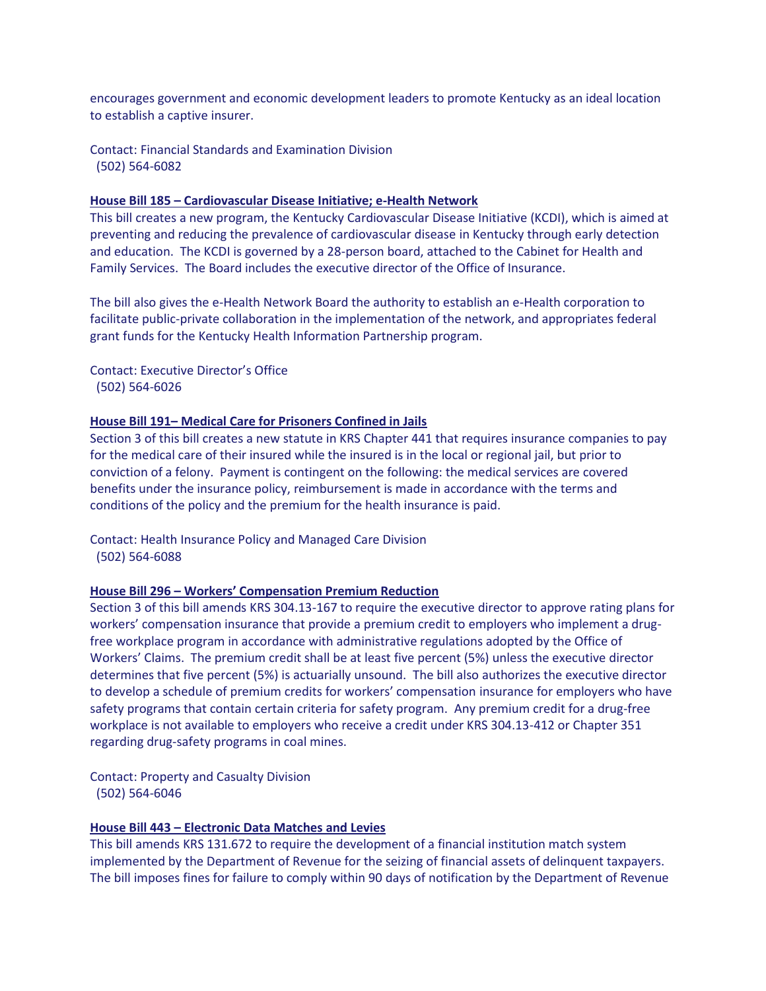encourages government and economic development leaders to promote Kentucky as an ideal location to establish a captive insurer.

Contact: Financial Standards and Examination Division (502) 564-6082

### **House Bill 185 – Cardiovascular Disease Initiative; e-Health Network**

This bill creates a new program, the Kentucky Cardiovascular Disease Initiative (KCDI), which is aimed at preventing and reducing the prevalence of cardiovascular disease in Kentucky through early detection and education. The KCDI is governed by a 28-person board, attached to the Cabinet for Health and Family Services. The Board includes the executive director of the Office of Insurance.

The bill also gives the e-Health Network Board the authority to establish an e-Health corporation to facilitate public-private collaboration in the implementation of the network, and appropriates federal grant funds for the Kentucky Health Information Partnership program.

Contact: Executive Director's Office (502) 564-6026

#### **House Bill 191– Medical Care for Prisoners Confined in Jails**

Section 3 of this bill creates a new statute in KRS Chapter 441 that requires insurance companies to pay for the medical care of their insured while the insured is in the local or regional jail, but prior to conviction of a felony. Payment is contingent on the following: the medical services are covered benefits under the insurance policy, reimbursement is made in accordance with the terms and conditions of the policy and the premium for the health insurance is paid.

Contact: Health Insurance Policy and Managed Care Division (502) 564-6088

### **House Bill 296 – Workers' Compensation Premium Reduction**

Section 3 of this bill amends KRS 304.13-167 to require the executive director to approve rating plans for workers' compensation insurance that provide a premium credit to employers who implement a drugfree workplace program in accordance with administrative regulations adopted by the Office of Workers' Claims. The premium credit shall be at least five percent (5%) unless the executive director determines that five percent (5%) is actuarially unsound. The bill also authorizes the executive director to develop a schedule of premium credits for workers' compensation insurance for employers who have safety programs that contain certain criteria for safety program. Any premium credit for a drug-free workplace is not available to employers who receive a credit under KRS 304.13-412 or Chapter 351 regarding drug-safety programs in coal mines.

Contact: Property and Casualty Division (502) 564-6046

## **House Bill 443 – Electronic Data Matches and Levies**

This bill amends KRS 131.672 to require the development of a financial institution match system implemented by the Department of Revenue for the seizing of financial assets of delinquent taxpayers. The bill imposes fines for failure to comply within 90 days of notification by the Department of Revenue